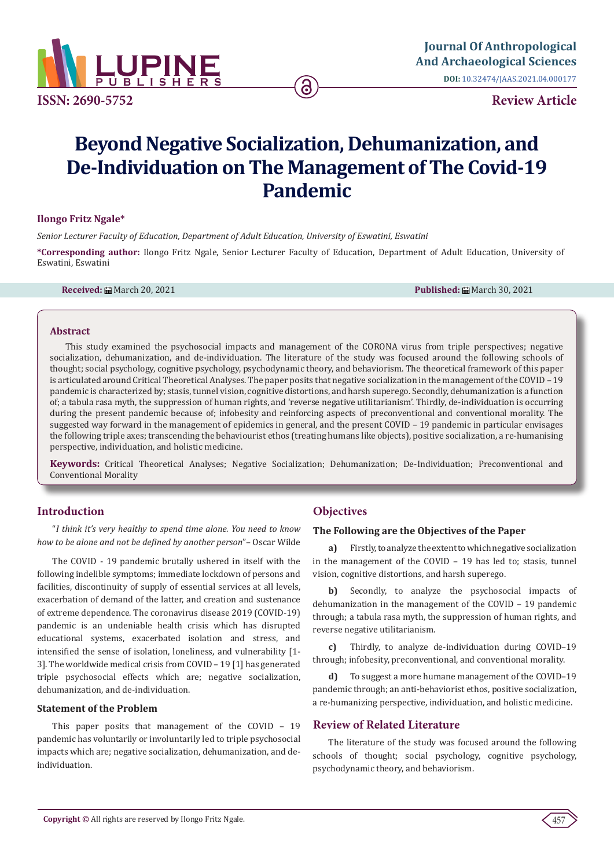

**ISSN: 2690-5752**

**Review Article**

# **Beyond Negative Socialization, Dehumanization, and De-Individuation on The Management of The Covid-19 Pandemic**

#### **Ilongo Fritz Ngale\***

*Senior Lecturer Faculty of Education, Department of Adult Education, University of Eswatini, Eswatini*

**\*Corresponding author:** Ilongo Fritz Ngale, Senior Lecturer Faculty of Education, Department of Adult Education, University of Eswatini, Eswatini

**Received:** March 20, 2021 **Published:** March 30, 2021

#### **Abstract**

This study examined the psychosocial impacts and management of the CORONA virus from triple perspectives; negative socialization, dehumanization, and de-individuation. The literature of the study was focused around the following schools of thought; social psychology, cognitive psychology, psychodynamic theory, and behaviorism. The theoretical framework of this paper is articulated around Critical Theoretical Analyses. The paper posits that negative socialization in the management of the COVID – 19 pandemic is characterized by; stasis, tunnel vision, cognitive distortions, and harsh superego. Secondly, dehumanization is a function of; a tabula rasa myth, the suppression of human rights, and 'reverse negative utilitarianism'. Thirdly, de-individuation is occurring during the present pandemic because of; infobesity and reinforcing aspects of preconventional and conventional morality. The suggested way forward in the management of epidemics in general, and the present COVID – 19 pandemic in particular envisages the following triple axes; transcending the behaviourist ethos (treating humans like objects), positive socialization, a re-humanising perspective, individuation, and holistic medicine.

**Keywords:** Critical Theoretical Analyses; Negative Socialization; Dehumanization; De-Individuation; Preconventional and Conventional Morality

# **Introduction**

"*I think it's very healthy to spend time alone. You need to know how to be alone and not be defined by another person*"– Oscar Wilde

The COVID - 19 pandemic brutally ushered in itself with the following indelible symptoms; immediate lockdown of persons and facilities, discontinuity of supply of essential services at all levels, exacerbation of demand of the latter, and creation and sustenance of extreme dependence. The coronavirus disease 2019 (COVID-19) pandemic is an undeniable health crisis which has disrupted educational systems, exacerbated isolation and stress, and intensified the sense of isolation, loneliness, and vulnerability [1- 3]. The worldwide medical crisis from COVID – 19 [1] has generated triple psychosocial effects which are; negative socialization, dehumanization, and de-individuation.

#### **Statement of the Problem**

This paper posits that management of the COVID – 19 pandemic has voluntarily or involuntarily led to triple psychosocial impacts which are; negative socialization, dehumanization, and deindividuation.

# **Objectives**

#### **The Following are the Objectives of the Paper**

**a)** Firstly, to analyze the extent to which negative socialization in the management of the COVID – 19 has led to; stasis, tunnel vision, cognitive distortions, and harsh superego.

**b)** Secondly, to analyze the psychosocial impacts of dehumanization in the management of the COVID – 19 pandemic through; a tabula rasa myth, the suppression of human rights, and reverse negative utilitarianism.

**c)** Thirdly, to analyze de-individuation during COVID–19 through; infobesity, preconventional, and conventional morality.

**d)** To suggest a more humane management of the COVID–19 pandemic through; an anti-behaviorist ethos, positive socialization, a re-humanizing perspective, individuation, and holistic medicine.

## **Review of Related Literature**

The literature of the study was focused around the following schools of thought; social psychology, cognitive psychology, psychodynamic theory, and behaviorism.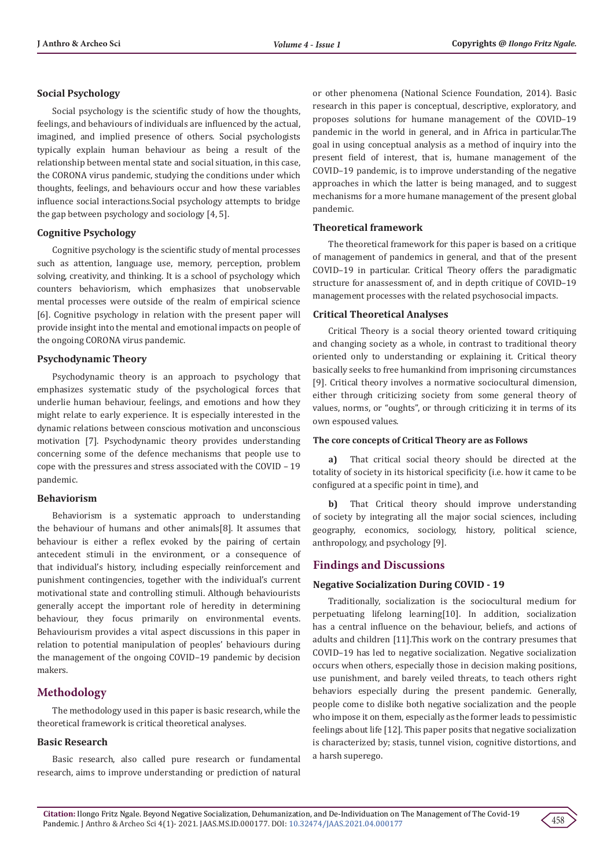#### **Social Psychology**

Social psychology is the scientific study of how the thoughts, feelings, and behaviours of individuals are influenced by the actual, imagined, and implied presence of others. Social psychologists typically explain human behaviour as being a result of the relationship between mental state and social situation, in this case, the CORONA virus pandemic, studying the conditions under which thoughts, feelings, and behaviours occur and how these variables influence social interactions.Social psychology attempts to bridge the gap between psychology and sociology [4, 5].

#### **Cognitive Psychology**

Cognitive psychology is the scientific study of mental processes such as attention, language use, memory, perception, problem solving, creativity, and thinking. It is a school of psychology which counters behaviorism, which emphasizes that unobservable mental processes were outside of the realm of empirical science [6]. Cognitive psychology in relation with the present paper will provide insight into the mental and emotional impacts on people of the ongoing CORONA virus pandemic.

## **Psychodynamic Theory**

Psychodynamic theory is an approach to psychology that emphasizes systematic study of the psychological forces that underlie human behaviour, feelings, and emotions and how they might relate to early experience. It is especially interested in the dynamic relations between conscious motivation and unconscious motivation [7]. Psychodynamic theory provides understanding concerning some of the defence mechanisms that people use to cope with the pressures and stress associated with the COVID – 19 pandemic.

#### **Behaviorism**

Behaviorism is a systematic approach to understanding the behaviour of humans and other animals[8]. It assumes that behaviour is either a reflex evoked by the pairing of certain antecedent stimuli in the environment, or a consequence of that individual's history, including especially reinforcement and punishment contingencies, together with the individual's current motivational state and controlling stimuli. Although behaviourists generally accept the important role of heredity in determining behaviour, they focus primarily on environmental events. Behaviourism provides a vital aspect discussions in this paper in relation to potential manipulation of peoples' behaviours during the management of the ongoing COVID–19 pandemic by decision makers.

# **Methodology**

The methodology used in this paper is basic research, while the theoretical framework is critical theoretical analyses.

## **Basic Research**

Basic research, also called pure research or fundamental research, aims to improve understanding or prediction of natural or other phenomena (National Science Foundation, 2014). Basic research in this paper is conceptual, descriptive, exploratory, and proposes solutions for humane management of the COVID–19 pandemic in the world in general, and in Africa in particular.The goal in using conceptual analysis as a method of inquiry into the present field of interest, that is, humane management of the COVID–19 pandemic, is to improve understanding of the negative approaches in which the latter is being managed, and to suggest mechanisms for a more humane management of the present global pandemic.

#### **Theoretical framework**

The theoretical framework for this paper is based on a critique of management of pandemics in general, and that of the present COVID–19 in particular. Critical Theory offers the paradigmatic structure for anassessment of, and in depth critique of COVID–19 management processes with the related psychosocial impacts.

#### **Critical Theoretical Analyses**

Critical Theory is a social theory oriented toward critiquing and changing society as a whole, in contrast to traditional theory oriented only to understanding or explaining it. Critical theory basically seeks to free humankind from imprisoning circumstances [9]. Critical theory involves a normative sociocultural dimension, either through criticizing society from some general theory of values, norms, or "oughts", or through criticizing it in terms of its own espoused values.

#### **The core concepts of Critical Theory are as Follows**

**a)** That critical social theory should be directed at the totality of society in its historical specificity (i.e. how it came to be configured at a specific point in time), and

**b)** That Critical theory should improve understanding of society by integrating all the major social sciences, including geography, economics, sociology, history, political science, anthropology, and psychology [9].

#### **Findings and Discussions**

#### **Negative Socialization During COVID - 19**

Traditionally, socialization is the sociocultural medium for perpetuating lifelong learning[10]. In addition, socialization has a central influence on the behaviour, beliefs, and actions of adults and children [11].This work on the contrary presumes that COVID–19 has led to negative socialization. Negative socialization occurs when others, especially those in decision making positions, use punishment, and barely veiled threats, to teach others right behaviors especially during the present pandemic. Generally, people come to dislike both negative socialization and the people who impose it on them, especially as the former leads to pessimistic feelings about life [12]. This paper posits that negative socialization is characterized by; stasis, tunnel vision, cognitive distortions, and a harsh superego.

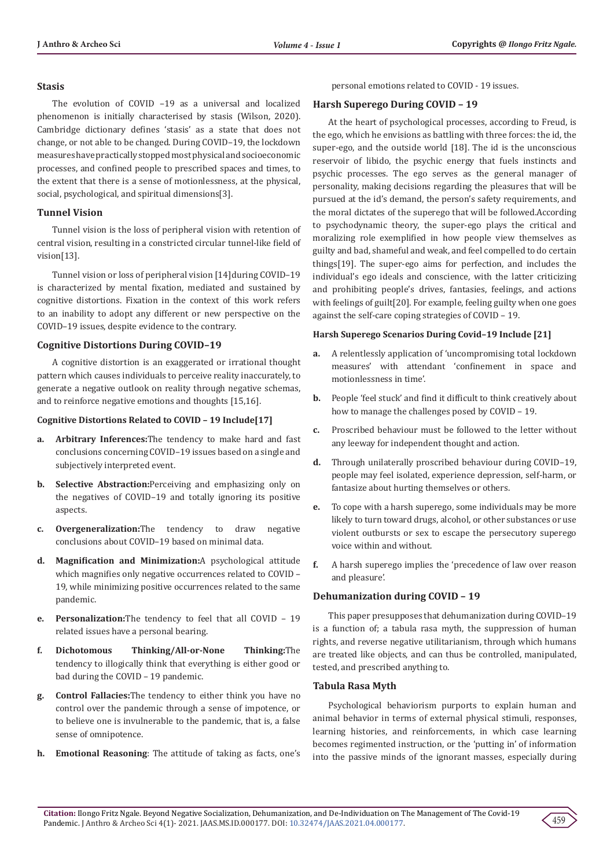#### **Stasis**

The evolution of COVID –19 as a universal and localized phenomenon is initially characterised by stasis (Wilson, 2020). Cambridge dictionary defines 'stasis' as a state that does not change, or not able to be changed. During COVID–19, the lockdown measures have practically stopped most physical and socioeconomic processes, and confined people to prescribed spaces and times, to the extent that there is a sense of motionlessness, at the physical, social, psychological, and spiritual dimensions[3].

## **Tunnel Vision**

Tunnel vision is the loss of peripheral vision with retention of central vision, resulting in a constricted circular tunnel-like field of vision[13].

Tunnel vision or loss of peripheral vision [14]during COVID–19 is characterized by mental fixation, mediated and sustained by cognitive distortions. Fixation in the context of this work refers to an inability to adopt any different or new perspective on the COVID–19 issues, despite evidence to the contrary.

## **Cognitive Distortions During COVID–19**

A cognitive distortion is an exaggerated or irrational thought pattern which causes individuals to perceive reality inaccurately, to generate a negative outlook on reality through negative schemas, and to reinforce negative emotions and thoughts [15,16].

#### **Cognitive Distortions Related to COVID – 19 Include[17]**

- **a. Arbitrary Inferences:**The tendency to make hard and fast conclusions concerning COVID–19 issues based on a single and subjectively interpreted event.
- **b. Selective Abstraction:**Perceiving and emphasizing only on the negatives of COVID–19 and totally ignoring its positive aspects.
- **c. Overgeneralization:**The tendency to draw negative conclusions about COVID–19 based on minimal data.
- **d. Magnification and Minimization:**A psychological attitude which magnifies only negative occurrences related to COVID – 19, while minimizing positive occurrences related to the same pandemic.
- **e. Personalization:**The tendency to feel that all COVID 19 related issues have a personal bearing.
- **f. Dichotomous Thinking/All-or-None Thinking:**The tendency to illogically think that everything is either good or bad during the COVID – 19 pandemic.
- **g. Control Fallacies:**The tendency to either think you have no control over the pandemic through a sense of impotence, or to believe one is invulnerable to the pandemic, that is, a false sense of omnipotence.
- **h. Emotional Reasoning**: The attitude of taking as facts, one's

personal emotions related to COVID - 19 issues.

## **Harsh Superego During COVID – 19**

At the heart of psychological processes, according to Freud, is the ego, which he envisions as battling with three forces: the id, the super-ego, and the outside world [18]. The id is the unconscious reservoir of libido, the psychic energy that fuels instincts and psychic processes. The ego serves as the general manager of personality, making decisions regarding the pleasures that will be pursued at the id's demand, the person's safety requirements, and the moral dictates of the superego that will be followed.According to psychodynamic theory, the super-ego plays the critical and moralizing role exemplified in how people view themselves as guilty and bad, shameful and weak, and feel compelled to do certain things[19]. The super-ego aims for perfection, and includes the individual's ego ideals and conscience, with the latter criticizing and prohibiting people's drives, fantasies, feelings, and actions with feelings of guilt[20]. For example, feeling guilty when one goes against the self-care coping strategies of COVID – 19.

#### **Harsh Superego Scenarios During Covid–19 Include [21]**

- **a.** A relentlessly application of 'uncompromising total lockdown measures' with attendant 'confinement in space and motionlessness in time'.
- **b.** People 'feel stuck' and find it difficult to think creatively about how to manage the challenges posed by COVID – 19.
- **c.** Proscribed behaviour must be followed to the letter without any leeway for independent thought and action.
- **d.** Through unilaterally proscribed behaviour during COVID–19, people may feel isolated, experience depression, self-harm, or fantasize about hurting themselves or others.
- **e.** To cope with a harsh superego, some individuals may be more likely to turn toward drugs, alcohol, or other substances or use violent outbursts or sex to escape the persecutory superego voice within and without.
- **f.** A harsh superego implies the 'precedence of law over reason and pleasure'.

## **Dehumanization during COVID – 19**

This paper presupposes that dehumanization during COVID–19 is a function of; a tabula rasa myth, the suppression of human rights, and reverse negative utilitarianism, through which humans are treated like objects, and can thus be controlled, manipulated, tested, and prescribed anything to.

#### **Tabula Rasa Myth**

Psychological behaviorism purports to explain human and animal behavior in terms of external physical stimuli, responses, learning histories, and reinforcements, in which case learning becomes regimented instruction, or the 'putting in' of information into the passive minds of the ignorant masses, especially during

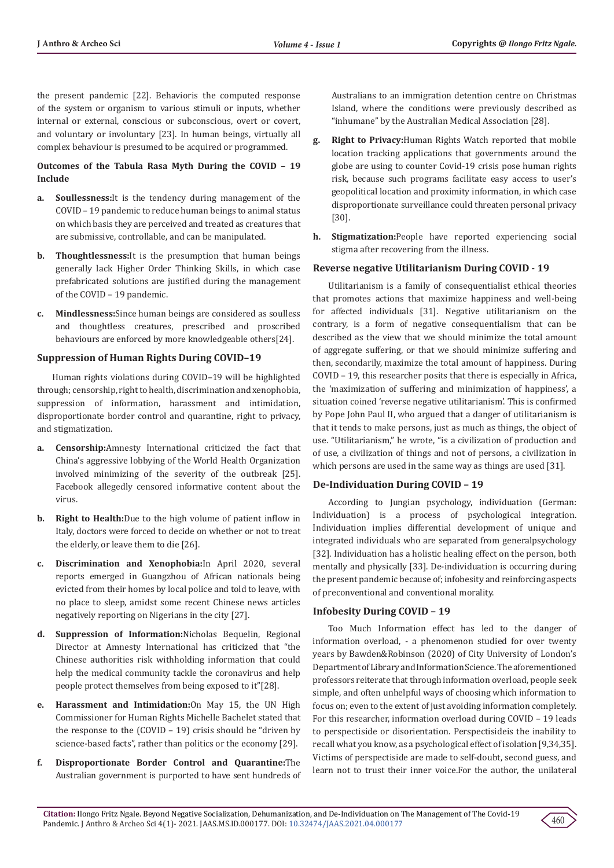the present pandemic [22]. Behavioris the computed response of the system or organism to various stimuli or inputs, whether internal or external, conscious or subconscious, overt or covert, and voluntary or involuntary [23]. In human beings, virtually all complex behaviour is presumed to be acquired or programmed.

## **Outcomes of the Tabula Rasa Myth During the COVID – 19 Include**

- **a. Soullessness:**It is the tendency during management of the COVID – 19 pandemic to reduce human beings to animal status on which basis they are perceived and treated as creatures that are submissive, controllable, and can be manipulated.
- **b. Thoughtlessness:**It is the presumption that human beings generally lack Higher Order Thinking Skills, in which case prefabricated solutions are justified during the management of the COVID – 19 pandemic.
- **c. Mindlessness:**Since human beings are considered as soulless and thoughtless creatures, prescribed and proscribed behaviours are enforced by more knowledgeable others[24].

## **Suppression of Human Rights During COVID–19**

Human rights violations during COVID–19 will be highlighted through; censorship, right to health, discrimination and xenophobia, suppression of information, harassment and intimidation, disproportionate border control and quarantine, right to privacy, and stigmatization.

- **a. Censorship:**Amnesty International criticized the fact that China's aggressive lobbying of the World Health Organization involved minimizing of the severity of the outbreak [25]. Facebook allegedly censored informative content about the virus.
- **b. Right to Health:**Due to the high volume of patient inflow in Italy, doctors were forced to decide on whether or not to treat the elderly, or leave them to die [26].
- **c. Discrimination and Xenophobia:**In April 2020, several reports emerged in Guangzhou of African nationals being evicted from their homes by local police and told to leave, with no place to sleep, amidst some recent Chinese news articles negatively reporting on Nigerians in the city [27].
- **d. Suppression of Information:**Nicholas Bequelin, Regional Director at Amnesty International has criticized that "the Chinese authorities risk withholding information that could help the medical community tackle the coronavirus and help people protect themselves from being exposed to it"[28].
- **e. Harassment and Intimidation:**On May 15, the UN High Commissioner for Human Rights Michelle Bachelet stated that the response to the (COVID – 19) crisis should be "driven by science-based facts", rather than politics or the economy [29].
- **f. Disproportionate Border Control and Quarantine:**The Australian government is purported to have sent hundreds of

Australians to an immigration detention centre on Christmas Island, where the conditions were previously described as "inhumane" by the Australian Medical Association [28].

- **g. Right to Privacy:**Human Rights Watch reported that mobile location tracking applications that governments around the globe are using to counter Covid-19 crisis pose human rights risk, because such programs facilitate easy access to user's geopolitical location and proximity information, in which case disproportionate surveillance could threaten personal privacy [30].
- **h. Stigmatization:**People have reported experiencing social stigma after recovering from the illness.

## **Reverse negative Utilitarianism During COVID - 19**

Utilitarianism is a family of consequentialist ethical theories that promotes actions that maximize happiness and well-being for affected individuals [31]. Negative utilitarianism on the contrary, is a form of negative consequentialism that can be described as the view that we should minimize the total amount of aggregate suffering, or that we should minimize suffering and then, secondarily, maximize the total amount of happiness. During COVID – 19, this researcher posits that there is especially in Africa, the 'maximization of suffering and minimization of happiness', a situation coined 'reverse negative utilitarianism'. This is confirmed by Pope John Paul II, who argued that a danger of utilitarianism is that it tends to make persons, just as much as things, the object of use. "Utilitarianism," he wrote, "is a civilization of production and of use, a civilization of things and not of persons, a civilization in which persons are used in the same way as things are used [31].

## **De-Individuation During COVID – 19**

According to Jungian psychology, individuation (German: Individuation) is a process of psychological integration. Individuation implies differential development of unique and integrated individuals who are separated from generalpsychology [32]. Individuation has a holistic healing effect on the person, both mentally and physically [33]. De-individuation is occurring during the present pandemic because of; infobesity and reinforcing aspects of preconventional and conventional morality.

# **Infobesity During COVID – 19**

Too Much Information effect has led to the danger of information overload, - a phenomenon studied for over twenty years by Bawden&Robinson (2020) of City University of London's Department of Library and Information Science. The aforementioned professors reiterate that through information overload, people seek simple, and often unhelpful ways of choosing which information to focus on; even to the extent of just avoiding information completely. For this researcher, information overload during COVID – 19 leads to perspectiside or disorientation. Perspectisideis the inability to recall what you know, as a psychological effect of isolation [9,34,35]. Victims of perspectiside are made to self-doubt, second guess, and learn not to trust their inner voice.For the author, the unilateral

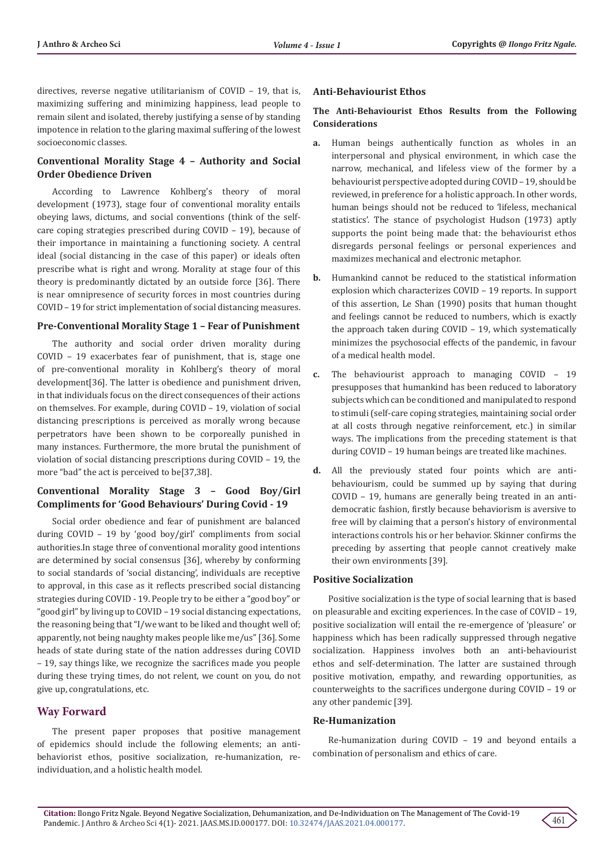directives, reverse negative utilitarianism of COVID – 19, that is, maximizing suffering and minimizing happiness, lead people to remain silent and isolated, thereby justifying a sense of by standing impotence in relation to the glaring maximal suffering of the lowest socioeconomic classes.

# **Conventional Morality Stage 4 – Authority and Social Order Obedience Driven**

According to Lawrence Kohlberg's theory of moral development (1973), stage four of conventional morality entails obeying laws, dictums, and social conventions (think of the selfcare coping strategies prescribed during COVID – 19), because of their importance in maintaining a functioning society. A central ideal (social distancing in the case of this paper) or ideals often prescribe what is right and wrong. Morality at stage four of this theory is predominantly dictated by an outside force [36]. There is near omnipresence of security forces in most countries during COVID – 19 for strict implementation of social distancing measures.

## **Pre-Conventional Morality Stage 1 – Fear of Punishment**

The authority and social order driven morality during COVID – 19 exacerbates fear of punishment, that is, stage one of pre-conventional morality in Kohlberg's theory of moral development[36]. The latter is obedience and punishment driven, in that individuals focus on the direct consequences of their actions on themselves. For example, during COVID – 19, violation of social distancing prescriptions is perceived as morally wrong because perpetrators have been shown to be corporeally punished in many instances. Furthermore, the more brutal the punishment of violation of social distancing prescriptions during COVID – 19, the more "bad" the act is perceived to be[37,38].

## **Conventional Morality Stage 3 – Good Boy/Girl Compliments for 'Good Behaviours' During Covid - 19**

Social order obedience and fear of punishment are balanced during COVID – 19 by 'good boy/girl' compliments from social authorities.In stage three of conventional morality good intentions are determined by social consensus [36], whereby by conforming to social standards of 'social distancing', individuals are receptive to approval, in this case as it reflects prescribed social distancing strategies during COVID - 19. People try to be either a "good boy" or "good girl" by living up to COVID – 19 social distancing expectations, the reasoning being that "I/we want to be liked and thought well of; apparently, not being naughty makes people like me/us" [36]. Some heads of state during state of the nation addresses during COVID – 19, say things like, we recognize the sacrifices made you people during these trying times, do not relent, we count on you, do not give up, congratulations, etc.

# **Way Forward**

The present paper proposes that positive management of epidemics should include the following elements; an antibehaviorist ethos, positive socialization, re-humanization, reindividuation, and a holistic health model.

## **Anti-Behaviourist Ethos**

## **The Anti-Behaviourist Ethos Results from the Following Considerations**

- **a.** Human beings authentically function as wholes in an interpersonal and physical environment, in which case the narrow, mechanical, and lifeless view of the former by a behaviourist perspective adopted during COVID – 19, should be reviewed, in preference for a holistic approach. In other words, human beings should not be reduced to 'lifeless, mechanical statistics'. The stance of psychologist Hudson (1973) aptly supports the point being made that: the behaviourist ethos disregards personal feelings or personal experiences and maximizes mechanical and electronic metaphor.
- **b.** Humankind cannot be reduced to the statistical information explosion which characterizes COVID – 19 reports. In support of this assertion, Le Shan (1990) posits that human thought and feelings cannot be reduced to numbers, which is exactly the approach taken during COVID – 19, which systematically minimizes the psychosocial effects of the pandemic, in favour of a medical health model.
- **c.** The behaviourist approach to managing COVID 19 presupposes that humankind has been reduced to laboratory subjects which can be conditioned and manipulated to respond to stimuli (self-care coping strategies, maintaining social order at all costs through negative reinforcement, etc.) in similar ways. The implications from the preceding statement is that during COVID – 19 human beings are treated like machines.
- **d.** All the previously stated four points which are antibehaviourism, could be summed up by saying that during COVID – 19, humans are generally being treated in an antidemocratic fashion, firstly because behaviorism is aversive to free will by claiming that a person's history of environmental interactions controls his or her behavior. Skinner confirms the preceding by asserting that people cannot creatively make their own environments [39].

## **Positive Socialization**

Positive socialization is the type of social learning that is based on pleasurable and exciting experiences. In the case of COVID – 19, positive socialization will entail the re-emergence of 'pleasure' or happiness which has been radically suppressed through negative socialization. Happiness involves both an anti-behaviourist ethos and self-determination. The latter are sustained through positive motivation, empathy, and rewarding opportunities, as counterweights to the sacrifices undergone during COVID – 19 or any other pandemic [39].

## **Re-Humanization**

Re-humanization during COVID – 19 and beyond entails a combination of personalism and ethics of care.

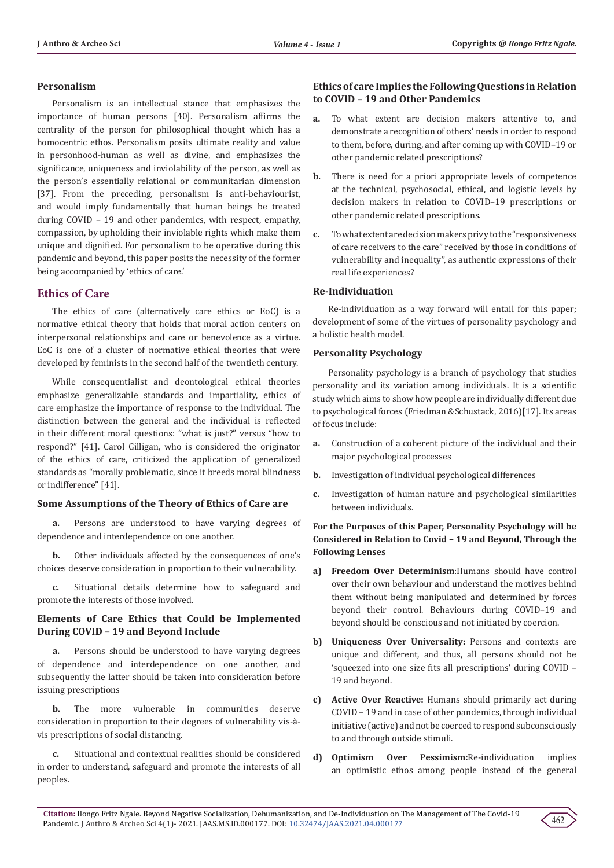#### **Personalism**

Personalism is an intellectual stance that emphasizes the importance of human persons [40]. Personalism affirms the centrality of the person for philosophical thought which has a homocentric ethos. Personalism posits ultimate reality and value in personhood-human as well as divine, and emphasizes the significance, uniqueness and inviolability of the person, as well as the person's essentially relational or communitarian dimension [37]. From the preceding, personalism is anti-behaviourist, and would imply fundamentally that human beings be treated during COVID – 19 and other pandemics, with respect, empathy, compassion, by upholding their inviolable rights which make them unique and dignified. For personalism to be operative during this pandemic and beyond, this paper posits the necessity of the former being accompanied by 'ethics of care.'

# **Ethics of Care**

The ethics of care (alternatively care ethics or EoC) is a normative ethical theory that holds that moral action centers on interpersonal relationships and care or benevolence as a virtue. EoC is one of a cluster of normative ethical theories that were developed by feminists in the second half of the twentieth century.

While consequentialist and deontological ethical theories emphasize generalizable standards and impartiality, ethics of care emphasize the importance of response to the individual. The distinction between the general and the individual is reflected in their different moral questions: "what is just?" versus "how to respond?" [41]. Carol Gilligan, who is considered the originator of the ethics of care, criticized the application of generalized standards as "morally problematic, since it breeds moral blindness or indifference" [41].

## **Some Assumptions of the Theory of Ethics of Care are**

**a.** Persons are understood to have varying degrees of dependence and interdependence on one another.

**b.** Other individuals affected by the consequences of one's choices deserve consideration in proportion to their vulnerability.

**c.** Situational details determine how to safeguard and promote the interests of those involved.

## **Elements of Care Ethics that Could be Implemented During COVID – 19 and Beyond Include**

**a.** Persons should be understood to have varying degrees of dependence and interdependence on one another, and subsequently the latter should be taken into consideration before issuing prescriptions

**b.** The more vulnerable in communities deserve consideration in proportion to their degrees of vulnerability vis-àvis prescriptions of social distancing.

**c.** Situational and contextual realities should be considered in order to understand, safeguard and promote the interests of all peoples.

## **Ethics of care Implies the Following Questions in Relation to COVID – 19 and Other Pandemics**

- **a.** To what extent are decision makers attentive to, and demonstrate a recognition of others' needs in order to respond to them, before, during, and after coming up with COVID–19 or other pandemic related prescriptions?
- **b.** There is need for a priori appropriate levels of competence at the technical, psychosocial, ethical, and logistic levels by decision makers in relation to COVID–19 prescriptions or other pandemic related prescriptions.
- **c.** To what extent are decision makers privy to the "responsiveness of care receivers to the care" received by those in conditions of vulnerability and inequality", as authentic expressions of their real life experiences?

## **Re-Individuation**

Re-individuation as a way forward will entail for this paper; development of some of the virtues of personality psychology and a holistic health model.

## **Personality Psychology**

Personality psychology is a branch of psychology that studies personality and its variation among individuals. It is a scientific study which aims to show how people are individually different due to psychological forces (Friedman &Schustack, 2016)[17]. Its areas of focus include:

- **a.** Construction of a coherent picture of the individual and their major psychological processes
- **b.** Investigation of individual psychological differences
- **c.** Investigation of human nature and psychological similarities between individuals.

## **For the Purposes of this Paper, Personality Psychology will be Considered in Relation to Covid – 19 and Beyond, Through the Following Lenses**

- **a) Freedom Over Determinism**:Humans should have control over their own behaviour and understand the motives behind them without being manipulated and determined by forces beyond their control. Behaviours during COVID–19 and beyond should be conscious and not initiated by coercion.
- **b) Uniqueness Over Universality:** Persons and contexts are unique and different, and thus, all persons should not be 'squeezed into one size fits all prescriptions' during COVID – 19 and beyond.
- **c) Active Over Reactive:** Humans should primarily act during COVID – 19 and in case of other pandemics, through individual initiative (active) and not be coerced to respond subconsciously to and through outside stimuli.
- **d) Optimism Over Pessimism:**Re-individuation implies an optimistic ethos among people instead of the general

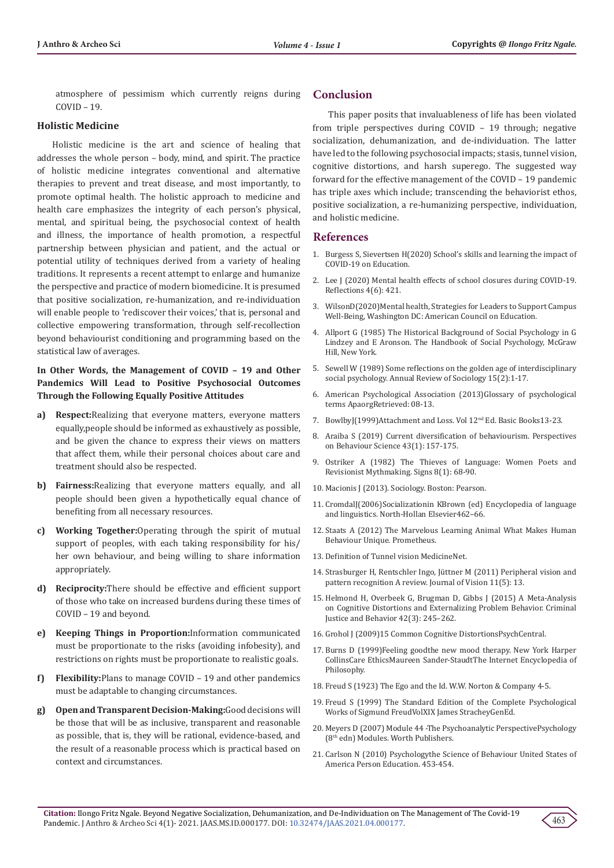atmosphere of pessimism which currently reigns during COVID – 19.

#### **Holistic Medicine**

Holistic medicine is the art and science of healing that addresses the whole person – body, mind, and spirit. The practice of holistic medicine integrates conventional and alternative therapies to prevent and treat disease, and most importantly, to promote optimal health. The holistic approach to medicine and health care emphasizes the integrity of each person's physical, mental, and spiritual being, the psychosocial context of health and illness, the importance of health promotion, a respectful partnership between physician and patient, and the actual or potential utility of techniques derived from a variety of healing traditions. It represents a recent attempt to enlarge and humanize the perspective and practice of modern biomedicine. It is presumed that positive socialization, re-humanization, and re-individuation will enable people to 'rediscover their voices,' that is, personal and collective empowering transformation, through self-recollection beyond behaviourist conditioning and programming based on the statistical law of averages.

## **In Other Words, the Management of COVID – 19 and Other Pandemics Will Lead to Positive Psychosocial Outcomes Through the Following Equally Positive Attitudes**

- **a) Respect:**Realizing that everyone matters, everyone matters equally,people should be informed as exhaustively as possible, and be given the chance to express their views on matters that affect them, while their personal choices about care and treatment should also be respected.
- **b) Fairness:**Realizing that everyone matters equally, and all people should been given a hypothetically equal chance of benefiting from all necessary resources.
- **c) Working Together:**Operating through the spirit of mutual support of peoples, with each taking responsibility for his/ her own behaviour, and being willing to share information appropriately.
- **d) Reciprocity:**There should be effective and efficient support of those who take on increased burdens during these times of COVID – 19 and beyond.
- **e) Keeping Things in Proportion:**Information communicated must be proportionate to the risks (avoiding infobesity), and restrictions on rights must be proportionate to realistic goals.
- **f) Flexibility:**Plans to manage COVID 19 and other pandemics must be adaptable to changing circumstances.
- **g) Open and Transparent Decision-Making:**Good decisions will be those that will be as inclusive, transparent and reasonable as possible, that is, they will be rational, evidence-based, and the result of a reasonable process which is practical based on context and circumstances.

## **Conclusion**

This paper posits that invaluableness of life has been violated from triple perspectives during COVID – 19 through; negative socialization, dehumanization, and de-individuation. The latter have led to the following psychosocial impacts; stasis, tunnel vision, cognitive distortions, and harsh superego. The suggested way forward for the effective management of the COVID – 19 pandemic has triple axes which include; transcending the behaviorist ethos, positive socialization, a re-humanizing perspective, individuation, and holistic medicine.

#### **References**

- 1. Burgess S, Sievertsen H(2020) School's skills and learning the impact of COVID-19 on Education.
- 2. [Lee J \(2020\) Mental health effects of school closures during COVID-19.](https://pubmed.ncbi.nlm.nih.gov/32302537/) [Reflections 4\(6\): 421.](https://pubmed.ncbi.nlm.nih.gov/32302537/)
- 3. WilsonD(2020)Mental health, Strategies for Leaders to Support Campus Well-Being, Washington DC: American Council on Education.
- 4. Allport G (1985) The Historical Background of Social Psychology in G Lindzey and E Aronson. The Handbook of Social Psychology, McGraw Hill, New York.
- 5. [Sewell W \(1989\) Some reflections on the golden age of interdisciplinary](https://www.researchgate.net/publication/234838349_Some_Reflections_on_the_Golden_Age_of_Interdisciplinary_Social_Psychology) [social psychology. Annual Review of Sociology 15\(2\):1-17.](https://www.researchgate.net/publication/234838349_Some_Reflections_on_the_Golden_Age_of_Interdisciplinary_Social_Psychology)
- 6. American Psychological Association (2013)Glossary of psychological terms ApaorgRetrieved: 08-13.
- 7. BowlbyJ(1999)Attachment and Loss. Vol 12nd Ed. Basic Books13-23.
- 8. Araiba S (2019) Current diversification of behaviourism. Perspectives on Behaviour Science 43(1): 157-175.
- 9. [Ostriker A \(1982\) The Thieves of Language: Women Poets and](https://www.jstor.org/stable/3173482?seq=1) [Revisionist Mythmaking. Signs 8\(1\): 68-90.](https://www.jstor.org/stable/3173482?seq=1)
- 10. Macionis J (2013). Sociology. Boston: Pearson.
- 11. CromdalJ(2006)Socializationin KBrown (ed) Encyclopedia of language and linguistics. North-Hollan Elsevier462–66.
- 12. [Staats A \(2012\) The Marvelous Learning Animal What Makes Human](https://psycnet.apa.org/record/2012-16324-000) [Behaviour Unique. Prometheus.](https://psycnet.apa.org/record/2012-16324-000)
- 13. Definition of Tunnel vision MedicineNet.
- 14. [Strasburger H, Rentschler Ingo, Jüttner M \(2011\) Peripheral vision and](https://pubmed.ncbi.nlm.nih.gov/22207654/) [pattern recognition A review. Journal of Vision 11\(5\): 13.](https://pubmed.ncbi.nlm.nih.gov/22207654/)
- 15. [Helmond H, Overbeek G, Brugman D, Gibbs J \(2015\) A Meta-Analysis](https://www.researchgate.net/publication/272382752_A_Meta-Analysis_On_Cognitive_Distortions_And_Externalizing_Problem_Behavior_Associations_Moderators_and_Treatment_Effectiveness) [on Cognitive Distortions and Externalizing Problem Behavior. Criminal](https://www.researchgate.net/publication/272382752_A_Meta-Analysis_On_Cognitive_Distortions_And_Externalizing_Problem_Behavior_Associations_Moderators_and_Treatment_Effectiveness) [Justice and Behavior 42\(3\): 245–262.](https://www.researchgate.net/publication/272382752_A_Meta-Analysis_On_Cognitive_Distortions_And_Externalizing_Problem_Behavior_Associations_Moderators_and_Treatment_Effectiveness)
- 16. Grohol J (2009)15 Common Cognitive DistortionsPsychCentral.
- 17. Burns D (1999)Feeling goodthe new mood therapy. New York Harper CollinsCare EthicsMaureen Sander-StaudtThe Internet Encyclopedia of Philosophy.
- 18. Freud S (1923) The Ego and the Id. W.W. Norton & Company 4-5.
- 19. Freud S (1999) The Standard Edition of the Complete Psychological Works of Sigmund FreudVolXIX James StracheyGenEd.
- 20. Meyers D (2007) Module 44 -The Psychoanalytic PerspectivePsychology (8th edn) Modules. Worth Publishers.
- 21. Carlson N (2010) Psychologythe Science of Behaviour United States of America Person Education. 453-454.